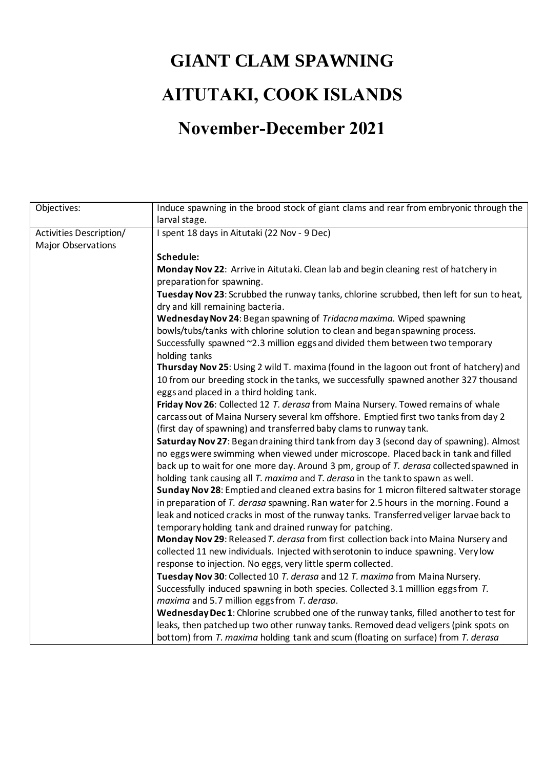## **GIANT CLAM SPAWNING AITUTAKI, COOK ISLANDS November-December 2021**

## Objectives: Induce spawning in the brood stock of giant clams and rear from embryonic through the larval stage. Activities Description/ Major Observations I spent 18 days in Aitutaki (22 Nov - 9 Dec) **Schedule: Monday Nov 22**: Arrive in Aitutaki. Clean lab and begin cleaning rest of hatchery in preparation for spawning. **Tuesday Nov 23**: Scrubbed the runway tanks, chlorine scrubbed, then left for sun to heat, dry and kill remaining bacteria. **Wednesday Nov 24**: Began spawning of *Tridacna maxima.* Wiped spawning bowls/tubs/tanks with chlorine solution to clean and began spawning process. Successfully spawned ~2.3 million eggs and divided them between two temporary holding tanks **Thursday Nov 25**: Using 2 wild T. maxima (found in the lagoon out front of hatchery) and 10 from our breeding stock in the tanks, we successfully spawned another 327 thousand eggs and placed in a third holding tank. **Friday Nov 26**: Collected 12 *T. derasa* from Maina Nursery. Towed remains of whale carcass out of Maina Nursery several km offshore. Emptied first two tanks from day 2 (first day of spawning) and transferred baby clams to runway tank. **Saturday Nov 27**: Began draining third tank from day 3 (second day of spawning). Almost no eggs were swimming when viewed under microscope. Placed back in tank and filled back up to wait for one more day. Around 3 pm, group of *T. derasa* collected spawned in holding tank causing all *T. maxima* and *T. derasa* in the tank to spawn as well. **Sunday Nov 28**: Emptied and cleaned extra basins for 1 micron filtered saltwater storage in preparation of *T. derasa* spawning. Ran water for 2.5 hours in the morning. Found a leak and noticed cracks in most of the runway tanks. Transferred veliger larvae back to temporary holding tank and drained runway for patching. **Monday Nov 29**: Released *T. derasa* from first collection back into Maina Nursery and collected 11 new individuals. Injected with serotonin to induce spawning. Very low response to injection. No eggs, very little sperm collected. **Tuesday Nov 30**: Collected 10 *T. derasa* and 12 *T. maxima* from Maina Nursery. Successfully induced spawning in both species. Collected 3.1 milllion eggs from *T. maxima* and 5.7 million eggs from *T. derasa*. **Wednesday Dec 1**: Chlorine scrubbed one of the runway tanks, filled another to test for leaks, then patched up two other runway tanks. Removed dead veligers (pink spots on bottom) from *T. maxima* holding tank and scum (floating on surface) from *T. derasa*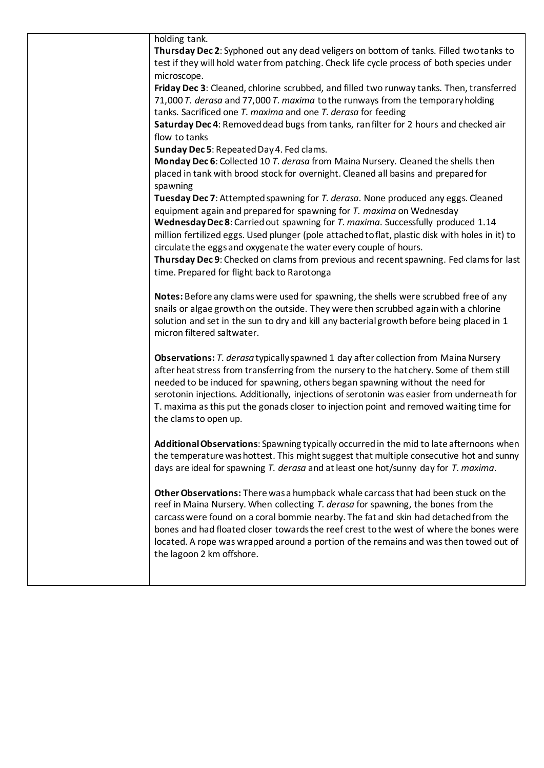| holding tank.                                                                                                                                                                         |
|---------------------------------------------------------------------------------------------------------------------------------------------------------------------------------------|
| Thursday Dec 2: Syphoned out any dead veligers on bottom of tanks. Filled two tanks to                                                                                                |
| test if they will hold water from patching. Check life cycle process of both species under<br>microscope.                                                                             |
| Friday Dec 3: Cleaned, chlorine scrubbed, and filled two runway tanks. Then, transferred                                                                                              |
| 71,000 T. derasa and 77,000 T. maxima to the runways from the temporary holding                                                                                                       |
| tanks. Sacrificed one T. maxima and one T. derasa for feeding                                                                                                                         |
| Saturday Dec 4: Removed dead bugs from tanks, ran filter for 2 hours and checked air                                                                                                  |
| flow to tanks                                                                                                                                                                         |
| Sunday Dec 5: Repeated Day 4. Fed clams.                                                                                                                                              |
| Monday Dec 6: Collected 10 T. derasa from Maina Nursery. Cleaned the shells then                                                                                                      |
| placed in tank with brood stock for overnight. Cleaned all basins and prepared for                                                                                                    |
| spawning                                                                                                                                                                              |
| Tuesday Dec 7: Attempted spawning for T. derasa. None produced any eggs. Cleaned                                                                                                      |
| equipment again and prepared for spawning for T. maxima on Wednesday                                                                                                                  |
| Wednesday Dec 8: Carried out spawning for T. maxima. Successfully produced 1.14                                                                                                       |
| million fertilized eggs. Used plunger (pole attached to flat, plastic disk with holes in it) to                                                                                       |
| circulate the eggs and oxygenate the water every couple of hours.                                                                                                                     |
| Thursday Dec 9: Checked on clams from previous and recent spawning. Fed clams for last                                                                                                |
| time. Prepared for flight back to Rarotonga                                                                                                                                           |
| Notes: Before any clams were used for spawning, the shells were scrubbed free of any                                                                                                  |
| snails or algae growth on the outside. They were then scrubbed again with a chlorine                                                                                                  |
| solution and set in the sun to dry and kill any bacterial growth before being placed in 1                                                                                             |
| micron filtered saltwater.                                                                                                                                                            |
|                                                                                                                                                                                       |
| Observations: T. derasa typically spawned 1 day after collection from Maina Nursery                                                                                                   |
| after heat stress from transferring from the nursery to the hatchery. Some of them still                                                                                              |
| needed to be induced for spawning, others began spawning without the need for                                                                                                         |
| serotonin injections. Additionally, injections of serotonin was easier from underneath for<br>T. maxima as this put the gonads closer to injection point and removed waiting time for |
| the clams to open up.                                                                                                                                                                 |
|                                                                                                                                                                                       |
| Additional Observations: Spawning typically occurred in the mid to late afternoons when                                                                                               |
| the temperature was hottest. This might suggest that multiple consecutive hot and sunny                                                                                               |
| days are ideal for spawning T. derasa and at least one hot/sunny day for T. maxima.                                                                                                   |
|                                                                                                                                                                                       |
| Other Observations: There was a humpback whale carcass that had been stuck on the                                                                                                     |
| reef in Maina Nursery. When collecting T. derasa for spawning, the bones from the                                                                                                     |
| carcass were found on a coral bommie nearby. The fat and skin had detached from the                                                                                                   |
| bones and had floated closer towards the reef crest to the west of where the bones were                                                                                               |
| located. A rope was wrapped around a portion of the remains and was then towed out of                                                                                                 |
| the lagoon 2 km offshore.                                                                                                                                                             |
|                                                                                                                                                                                       |
|                                                                                                                                                                                       |